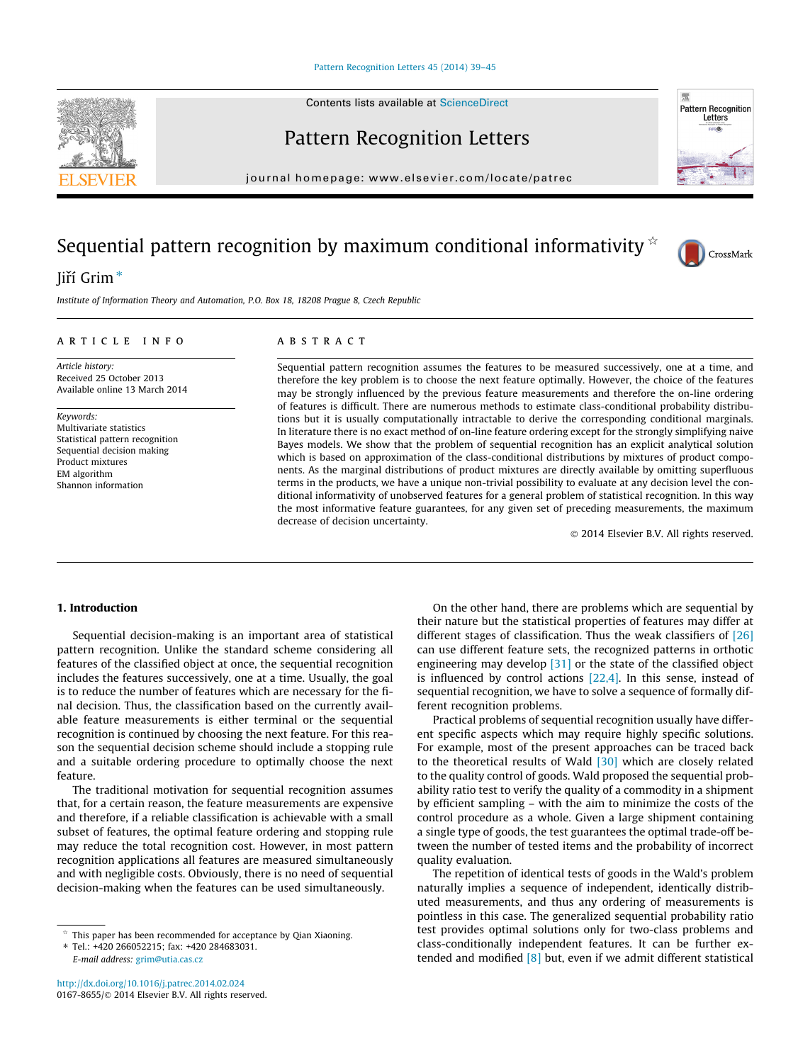#### [Pattern Recognition Letters 45 \(2014\) 39–45](http://dx.doi.org/10.1016/j.patrec.2014.02.024)

Contents lists available at [ScienceDirect](http://www.sciencedirect.com/science/journal/01678655)

## Pattern Recognition Letters

journal homepage: [www.elsevier.com/locate/patrec](http://www.elsevier.com/locate/patrec)

# Sequential pattern recognition by maximum conditional informativity  $\dot{\phi}$

### liří Grim<sup>\*</sup>

Institute of Information Theory and Automation, P.O. Box 18, 18208 Prague 8, Czech Republic

#### article info

Article history: Received 25 October 2013 Available online 13 March 2014

Keywords: Multivariate statistics Statistical pattern recognition Sequential decision making Product mixtures EM algorithm Shannon information

#### **ABSTRACT**

Sequential pattern recognition assumes the features to be measured successively, one at a time, and therefore the key problem is to choose the next feature optimally. However, the choice of the features may be strongly influenced by the previous feature measurements and therefore the on-line ordering of features is difficult. There are numerous methods to estimate class-conditional probability distributions but it is usually computationally intractable to derive the corresponding conditional marginals. In literature there is no exact method of on-line feature ordering except for the strongly simplifying naive Bayes models. We show that the problem of sequential recognition has an explicit analytical solution which is based on approximation of the class-conditional distributions by mixtures of product components. As the marginal distributions of product mixtures are directly available by omitting superfluous terms in the products, we have a unique non-trivial possibility to evaluate at any decision level the conditional informativity of unobserved features for a general problem of statistical recognition. In this way the most informative feature guarantees, for any given set of preceding measurements, the maximum decrease of decision uncertainty.

- 2014 Elsevier B.V. All rights reserved.

#### 1. Introduction

Sequential decision-making is an important area of statistical pattern recognition. Unlike the standard scheme considering all features of the classified object at once, the sequential recognition includes the features successively, one at a time. Usually, the goal is to reduce the number of features which are necessary for the final decision. Thus, the classification based on the currently available feature measurements is either terminal or the sequential recognition is continued by choosing the next feature. For this reason the sequential decision scheme should include a stopping rule and a suitable ordering procedure to optimally choose the next feature.

The traditional motivation for sequential recognition assumes that, for a certain reason, the feature measurements are expensive and therefore, if a reliable classification is achievable with a small subset of features, the optimal feature ordering and stopping rule may reduce the total recognition cost. However, in most pattern recognition applications all features are measured simultaneously and with negligible costs. Obviously, there is no need of sequential decision-making when the features can be used simultaneously.

⇑ Tel.: +420 266052215; fax: +420 284683031. E-mail address: [grim@utia.cas.cz](mailto:grim@utia.cas.cz)

On the other hand, there are problems which are sequential by their nature but the statistical properties of features may differ at different stages of classification. Thus the weak classifiers of  $[26]$ can use different feature sets, the recognized patterns in orthotic engineering may develop [\[31\]](#page-6-0) or the state of the classified object is influenced by control actions [\[22,4\].](#page-6-0) In this sense, instead of sequential recognition, we have to solve a sequence of formally different recognition problems.

Practical problems of sequential recognition usually have different specific aspects which may require highly specific solutions. For example, most of the present approaches can be traced back to the theoretical results of Wald [\[30\]](#page-6-0) which are closely related to the quality control of goods. Wald proposed the sequential probability ratio test to verify the quality of a commodity in a shipment by efficient sampling – with the aim to minimize the costs of the control procedure as a whole. Given a large shipment containing a single type of goods, the test guarantees the optimal trade-off between the number of tested items and the probability of incorrect quality evaluation.

The repetition of identical tests of goods in the Wald's problem naturally implies a sequence of independent, identically distributed measurements, and thus any ordering of measurements is pointless in this case. The generalized sequential probability ratio test provides optimal solutions only for two-class problems and class-conditionally independent features. It can be further extended and modified  $\begin{bmatrix} 8 \end{bmatrix}$  but, even if we admit different statistical





CrossMark

**Pattern Recognition** Letters

This paper has been recommended for acceptance by Qian Xiaoning.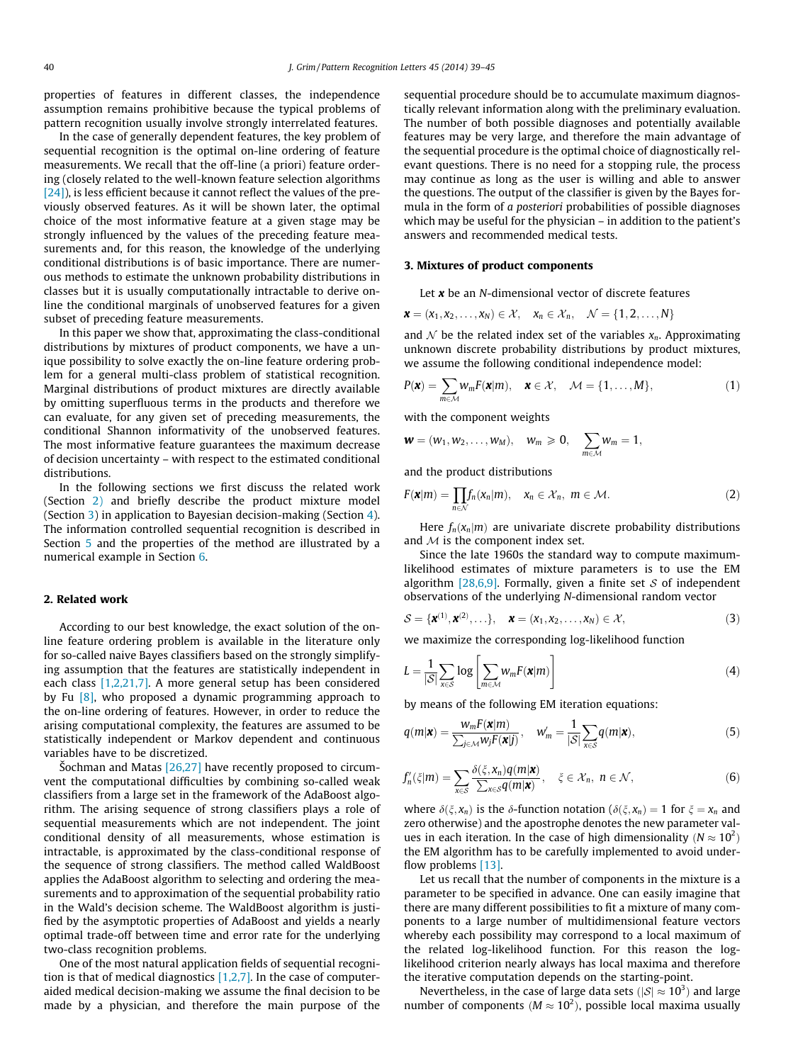<span id="page-1-0"></span>properties of features in different classes, the independence assumption remains prohibitive because the typical problems of pattern recognition usually involve strongly interrelated features.

In the case of generally dependent features, the key problem of sequential recognition is the optimal on-line ordering of feature measurements. We recall that the off-line (a priori) feature ordering (closely related to the well-known feature selection algorithms [\[24\]](#page-6-0)), is less efficient because it cannot reflect the values of the previously observed features. As it will be shown later, the optimal choice of the most informative feature at a given stage may be strongly influenced by the values of the preceding feature measurements and, for this reason, the knowledge of the underlying conditional distributions is of basic importance. There are numerous methods to estimate the unknown probability distributions in classes but it is usually computationally intractable to derive online the conditional marginals of unobserved features for a given subset of preceding feature measurements.

In this paper we show that, approximating the class-conditional distributions by mixtures of product components, we have a unique possibility to solve exactly the on-line feature ordering problem for a general multi-class problem of statistical recognition. Marginal distributions of product mixtures are directly available by omitting superfluous terms in the products and therefore we can evaluate, for any given set of preceding measurements, the conditional Shannon informativity of the unobserved features. The most informative feature guarantees the maximum decrease of decision uncertainty – with respect to the estimated conditional distributions.

In the following sections we first discuss the related work (Section 2) and briefly describe the product mixture model (Section 3) in application to Bayesian decision-making (Section [4\)](#page-2-0). The information controlled sequential recognition is described in Section [5](#page-2-0) and the properties of the method are illustrated by a numerical example in Section [6](#page-4-0).

#### 2. Related work

According to our best knowledge, the exact solution of the online feature ordering problem is available in the literature only for so-called naive Bayes classifiers based on the strongly simplifying assumption that the features are statistically independent in each class [\[1,2,21,7\].](#page-6-0) A more general setup has been considered by Fu [\[8\]](#page-6-0), who proposed a dynamic programming approach to the on-line ordering of features. However, in order to reduce the arising computational complexity, the features are assumed to be statistically independent or Markov dependent and continuous variables have to be discretized.

Šochman and Matas  $[26,27]$  have recently proposed to circumvent the computational difficulties by combining so-called weak classifiers from a large set in the framework of the AdaBoost algorithm. The arising sequence of strong classifiers plays a role of sequential measurements which are not independent. The joint conditional density of all measurements, whose estimation is intractable, is approximated by the class-conditional response of the sequence of strong classifiers. The method called WaldBoost applies the AdaBoost algorithm to selecting and ordering the measurements and to approximation of the sequential probability ratio in the Wald's decision scheme. The WaldBoost algorithm is justified by the asymptotic properties of AdaBoost and yields a nearly optimal trade-off between time and error rate for the underlying two-class recognition problems.

One of the most natural application fields of sequential recognition is that of medical diagnostics  $[1,2,7]$ . In the case of computeraided medical decision-making we assume the final decision to be made by a physician, and therefore the main purpose of the sequential procedure should be to accumulate maximum diagnostically relevant information along with the preliminary evaluation. The number of both possible diagnoses and potentially available features may be very large, and therefore the main advantage of the sequential procedure is the optimal choice of diagnostically relevant questions. There is no need for a stopping rule, the process may continue as long as the user is willing and able to answer the questions. The output of the classifier is given by the Bayes formula in the form of a posteriori probabilities of possible diagnoses which may be useful for the physician – in addition to the patient's answers and recommended medical tests.

#### 3. Mixtures of product components

Let  $x$  be an N-dimensional vector of discrete features

$$
\boldsymbol{x} = (x_1, x_2, \ldots, x_N) \in \mathcal{X}, \quad x_n \in \mathcal{X}_n, \quad \mathcal{N} = \{1, 2, \ldots, N\}
$$

and  $\mathcal N$  be the related index set of the variables  $x_n$ . Approximating unknown discrete probability distributions by product mixtures, we assume the following conditional independence model:

$$
P(\mathbf{x}) = \sum_{m \in \mathcal{M}} w_m F(\mathbf{x}|m), \quad \mathbf{x} \in \mathcal{X}, \quad \mathcal{M} = \{1, \dots, M\},
$$
 (1)

with the component weights

$$
\pmb{w}=(w_1,w_2,\ldots,w_M),\quad w_m\geqslant 0,\quad \sum_{m\in\mathcal{M}}w_m=1,
$$

and the product distributions

$$
F(\mathbf{x}|m) = \prod_{n \in \mathcal{N}} f_n(x_n|m), \quad x_n \in \mathcal{X}_n, \ m \in \mathcal{M}.
$$
 (2)

Here  $f_n(x_n|m)$  are univariate discrete probability distributions and  $M$  is the component index set.

Since the late 1960s the standard way to compute maximumlikelihood estimates of mixture parameters is to use the EM algorithm  $[28,6,9]$ . Formally, given a finite set S of independent observations of the underlying N-dimensional random vector

$$
\mathcal{S} = {\boldsymbol{\mathcal{X}}}^{(1)}, {\boldsymbol{\mathcal{X}}}^{(2)}, \ldots, \quad {\boldsymbol{\mathcal{X}}} = (x_1, x_2, \ldots, x_N) \in \mathcal{X}, \tag{3}
$$

we maximize the corresponding log-likelihood function

$$
L = \frac{1}{|S|} \sum_{x \in S} \log \left[ \sum_{m \in \mathcal{M}} w_m F(\mathbf{x}|m) \right]
$$
(4)

by means of the following EM iteration equations:

$$
q(m|\mathbf{x}) = \frac{w_m F(\mathbf{x}|m)}{\sum_{j \in \mathcal{M}} w_j F(\mathbf{x}|j)}, \quad w'_m = \frac{1}{|\mathcal{S}|} \sum_{\mathbf{x} \in \mathcal{S}} q(m|\mathbf{x}), \tag{5}
$$

$$
f'_{n}(\xi|m) = \sum_{x \in \mathcal{S}} \frac{\delta(\xi, x_{n})q(m|\mathbf{x})}{\sum_{x \in \mathcal{S}} q(m|\mathbf{x})}, \quad \xi \in \mathcal{X}_{n}, \ n \in \mathcal{N},
$$
\n(6)

where  $\delta(\xi, x_n)$  is the  $\delta$ -function notation ( $\delta(\xi, x_n) = 1$  for  $\xi = x_n$  and zero otherwise) and the apostrophe denotes the new parameter values in each iteration. In the case of high dimensionality ( $N \approx 10^2$ ) the EM algorithm has to be carefully implemented to avoid under-flow problems [\[13\].](#page-6-0)

Let us recall that the number of components in the mixture is a parameter to be specified in advance. One can easily imagine that there are many different possibilities to fit a mixture of many components to a large number of multidimensional feature vectors whereby each possibility may correspond to a local maximum of the related log-likelihood function. For this reason the loglikelihood criterion nearly always has local maxima and therefore the iterative computation depends on the starting-point.

Nevertheless, in the case of large data sets  $(|\mathcal{S}| \approx 10^3)$  and large number of components ( $M \approx 10^2$ ), possible local maxima usually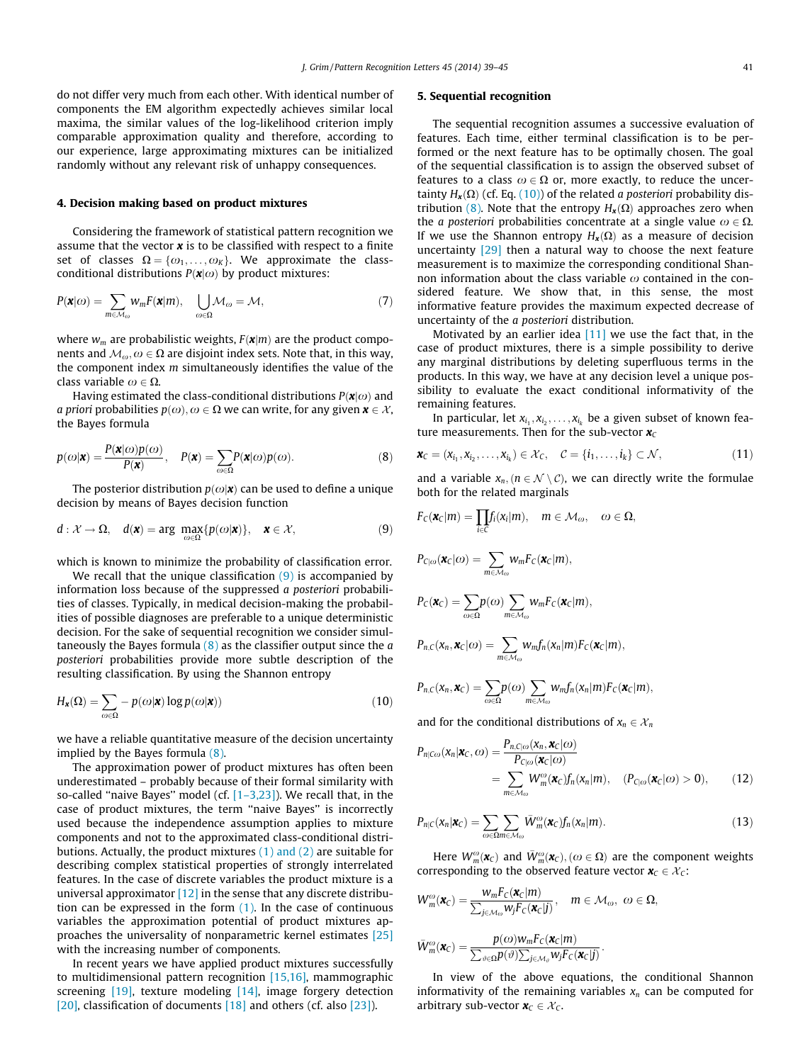<span id="page-2-0"></span>do not differ very much from each other. With identical number of components the EM algorithm expectedly achieves similar local maxima, the similar values of the log-likelihood criterion imply comparable approximation quality and therefore, according to our experience, large approximating mixtures can be initialized randomly without any relevant risk of unhappy consequences.

#### 4. Decision making based on product mixtures

Considering the framework of statistical pattern recognition we assume that the vector  $x$  is to be classified with respect to a finite set of classes  $\Omega = {\omega_1, \ldots, \omega_K}$ . We approximate the classconditional distributions  $P(\mathbf{x}|\omega)$  by product mixtures:

$$
P(\mathbf{x}|\omega) = \sum_{m \in \mathcal{M}_{\omega}} w_m F(\mathbf{x}|m), \quad \bigcup_{\omega \in \Omega} \mathcal{M}_{\omega} = \mathcal{M}, \tag{7}
$$

where  $w_m$  are probabilistic weights,  $F(\mathbf{x}|m)$  are the product components and  $M_{\omega}$ ,  $\omega \in \Omega$  are disjoint index sets. Note that, in this way, the component index  $m$  simultaneously identifies the value of the class variable  $\omega \in \Omega$ .

Having estimated the class-conditional distributions  $P(x|\omega)$  and *a priori probabilities*  $p(\omega), \omega \in \Omega$  we can write, for any given  $\mathbf{x} \in \mathcal{X}$ , the Bayes formula

$$
p(\omega|\mathbf{x}) = \frac{P(\mathbf{x}|\omega)p(\omega)}{P(\mathbf{x})}, \quad P(\mathbf{x}) = \sum_{\omega \in \Omega} P(\mathbf{x}|\omega)p(\omega).
$$
 (8)

The posterior distribution  $p(\omega|\mathbf{x})$  can be used to define a unique decision by means of Bayes decision function

$$
d: \mathcal{X} \to \Omega, \quad d(\mathbf{x}) = \arg \max_{\omega \in \Omega} \{p(\omega | \mathbf{x})\}, \quad \mathbf{x} \in \mathcal{X}, \tag{9}
$$

which is known to minimize the probability of classification error.

We recall that the unique classification  $(9)$  is accompanied by information loss because of the suppressed a posteriori probabilities of classes. Typically, in medical decision-making the probabilities of possible diagnoses are preferable to a unique deterministic decision. For the sake of sequential recognition we consider simultaneously the Bayes formula  $(8)$  as the classifier output since the  $a$ posteriori probabilities provide more subtle description of the resulting classification. By using the Shannon entropy

$$
H_{\mathbf{x}}(\Omega) = \sum_{\omega \in \Omega} -p(\omega|\mathbf{x}) \log p(\omega|\mathbf{x})) \tag{10}
$$

we have a reliable quantitative measure of the decision uncertainty implied by the Bayes formula (8).

The approximation power of product mixtures has often been underestimated – probably because of their formal similarity with so-called "naive Bayes" model (cf.  $[1-3,23]$ ). We recall that, in the case of product mixtures, the term ''naive Bayes'' is incorrectly used because the independence assumption applies to mixture components and not to the approximated class-conditional distributions. Actually, the product mixtures [\(1\) and \(2\)](#page-1-0) are suitable for describing complex statistical properties of strongly interrelated features. In the case of discrete variables the product mixture is a universal approximator  $[12]$  in the sense that any discrete distribution can be expressed in the form  $(1)$ . In the case of continuous variables the approximation potential of product mixtures approaches the universality of nonparametric kernel estimates [\[25\]](#page-6-0) with the increasing number of components.

In recent years we have applied product mixtures successfully to multidimensional pattern recognition [\[15,16\],](#page-6-0) mammographic screening  $[19]$ , texture modeling  $[14]$ , image forgery detection [\[20\],](#page-6-0) classification of documents  $[18]$  and others (cf. also [\[23\]\)](#page-6-0).

### 5. Sequential recognition

The sequential recognition assumes a successive evaluation of features. Each time, either terminal classification is to be performed or the next feature has to be optimally chosen. The goal of the sequential classification is to assign the observed subset of features to a class  $\omega \in \Omega$  or, more exactly, to reduce the uncertainty  $H_x(\Omega)$  (cf. Eq. (10)) of the related a posteriori probability distribution (8). Note that the entropy  $H_{\mathbf{x}}(\Omega)$  approaches zero when the *a posteriori* probabilities concentrate at a single value  $\omega \in \Omega$ . If we use the Shannon entropy  $H_x(\Omega)$  as a measure of decision uncertainty  $\left[29\right]$  then a natural way to choose the next feature measurement is to maximize the corresponding conditional Shannon information about the class variable  $\omega$  contained in the considered feature. We show that, in this sense, the most informative feature provides the maximum expected decrease of uncertainty of the a posteriori distribution.

Motivated by an earlier idea  $[11]$  we use the fact that, in the case of product mixtures, there is a simple possibility to derive any marginal distributions by deleting superfluous terms in the products. In this way, we have at any decision level a unique possibility to evaluate the exact conditional informativity of the remaining features.

In particular, let  $x_{i_1}, x_{i_2}, \ldots, x_{i_k}$  be a given subset of known feature measurements. Then for the sub-vector  $x_c$ 

$$
\mathbf{x}_C = (x_{i_1}, x_{i_2}, \dots, x_{i_k}) \in \mathcal{X}_C, \quad \mathcal{C} = \{i_1, \dots, i_k\} \subset \mathcal{N},
$$
\n(11)

and a variable  $x_n, (n \in \mathcal{N} \setminus \mathcal{C})$ , we can directly write the formulae both for the related marginals

$$
F_C(\mathbf{x}_C|m) = \prod_{i \in C} f_i(x_i|m), \quad m \in M_{\omega}, \quad \omega \in \Omega,
$$
  
\n
$$
P_{C|\omega}(\mathbf{x}_C|\omega) = \sum_{m \in M_{\omega}} w_m F_C(\mathbf{x}_C|m),
$$
  
\n
$$
P_C(\mathbf{x}_C) = \sum_{\omega \in \Omega} p(\omega) \sum_{m \in M_{\omega}} w_m F_C(\mathbf{x}_C|m),
$$
  
\n
$$
P_{n,C}(x_n, \mathbf{x}_C|\omega) = \sum_{m \in M_{\omega}} w_m f_n(x_n|m) F_C(\mathbf{x}_C|m),
$$
  
\n
$$
P_{n,C}(x_n, \mathbf{x}_C) = \sum_{\omega \in \Omega} p(\omega) \sum_{m \in M_{\omega}} w_m f_n(x_n|m) F_C(\mathbf{x}_C|m),
$$

and for the conditional distributions of  $x_n \in \mathcal{X}_n$ 

$$
P_{n|C\omega}(\mathbf{x}_n|\mathbf{x}_C,\omega) = \frac{P_{n,C|\omega}(\mathbf{x}_n,\mathbf{x}_C|\omega)}{P_{C|\omega}(\mathbf{x}_C|\omega)}
$$
  
= 
$$
\sum_{m \in M_{\omega}} W_m^{\omega}(\mathbf{x}_C) f_n(\mathbf{x}_n|m), \quad (P_{C|\omega}(\mathbf{x}_C|\omega) > 0), \quad (12)
$$

$$
P_{n|C}(x_n|\mathbf{x}_C) = \sum_{\omega \in \Omega m \in \mathcal{M}_{\omega}} \bar{W}_m^{\omega}(\mathbf{x}_C) f_n(x_n|m). \tag{13}
$$

Here  $W^{\omega}_m(\boldsymbol{x}_C)$  and  $\bar{W}^{\omega}_m(\boldsymbol{x}_C), (\omega \in \Omega)$  are the component weights corresponding to the observed feature vector  $\mathbf{x}_C \in \mathcal{X}_C$ :

$$
W_{m}^{\omega}(\mathbf{x}_{C}) = \frac{w_{m}F_{C}(\mathbf{x}_{C}|m)}{\sum_{j\in\mathcal{M}_{\omega}}w_{j}F_{C}(\mathbf{x}_{C}|j)}, \quad m \in \mathcal{M}_{\omega}, \ \omega \in \Omega,
$$
  

$$
\bar{W}_{m}^{\omega}(\mathbf{x}_{C}) = \frac{p(\omega)w_{m}F_{C}(\mathbf{x}_{C}|m)}{\sum_{\vartheta \in \Omega}p(\vartheta)\sum_{j\in\mathcal{M}_{\vartheta}}w_{j}F_{C}(\mathbf{x}_{C}|j)}.
$$

In view of the above equations, the conditional Shannon informativity of the remaining variables  $x_n$  can be computed for arbitrary sub-vector  $\mathbf{x}_C \in \mathcal{X}_C$ .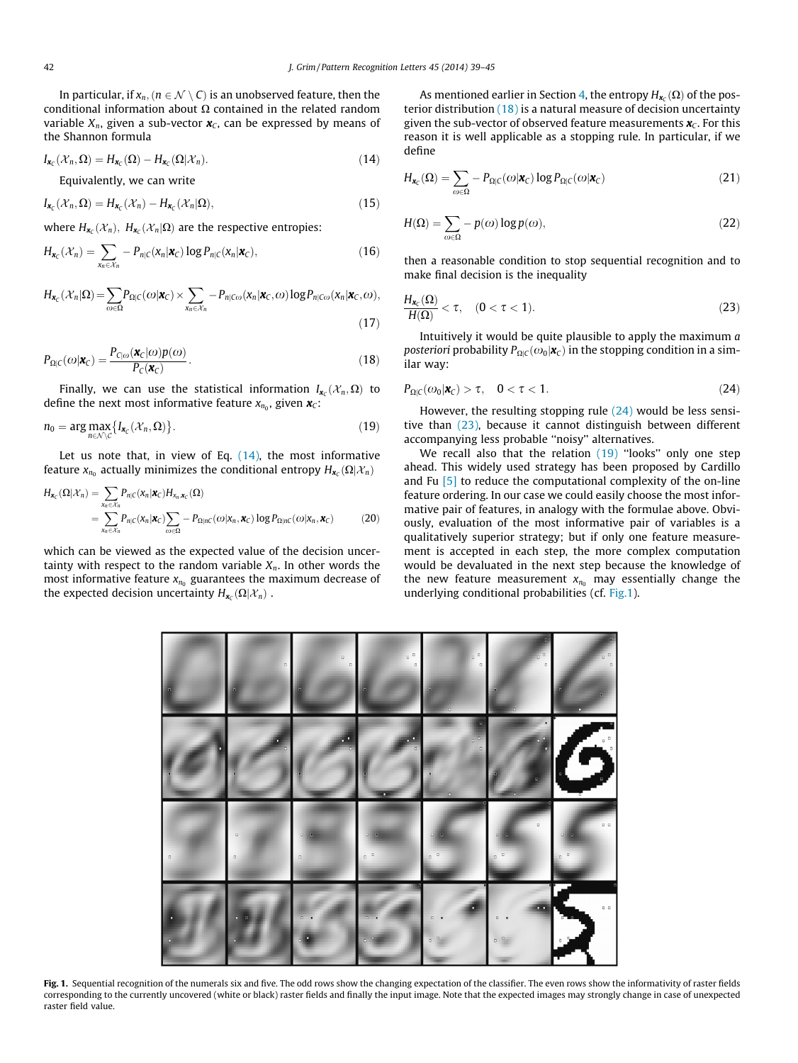<span id="page-3-0"></span>In particular, if  $x_n, (n \in \mathcal{N} \setminus C)$  is an unobserved feature, then the conditional information about  $\Omega$  contained in the related random variable  $X_n$ , given a sub-vector  $x_c$ , can be expressed by means of the Shannon formula

$$
I_{\mathbf{x}_{\mathcal{C}}}(\mathcal{X}_n,\Omega)=H_{\mathbf{x}_{\mathcal{C}}}(\Omega)-H_{\mathbf{x}_{\mathcal{C}}}(\Omega|\mathcal{X}_n).
$$
\n(14)

Equivalently, we can write

$$
I_{\mathbf{x}_{\mathcal{C}}}(\mathcal{X}_n,\Omega)=H_{\mathbf{x}_{\mathcal{C}}}(\mathcal{X}_n)-H_{\mathbf{x}_{\mathcal{C}}}(\mathcal{X}_n|\Omega),
$$
\n(15)

where  $H_{\boldsymbol{\kappa}_{c}}(\mathcal{X}_{n}), H_{\boldsymbol{\kappa}_{c}}(\mathcal{X}_{n}|\Omega)$  are the respective entropies:

$$
H_{\mathbf{x}_C}(\mathcal{X}_n) = \sum_{x_n \in \mathcal{X}_n} -P_{n|C}(\mathbf{x}_n|\mathbf{x}_C) \log P_{n|C}(\mathbf{x}_n|\mathbf{x}_C),
$$
\n(16)

$$
H_{\mathbf{x}_{\mathbb{C}}}(\mathcal{X}_{n}|\Omega) = \sum_{\omega \in \Omega} P_{\Omega|\mathbb{C}}(\omega|\mathbf{x}_{\mathbb{C}}) \times \sum_{\mathbf{x}_{n} \in \mathcal{X}_{n}} -P_{n|\mathbb{C}\omega}(\mathbf{x}_{n}|\mathbf{x}_{\mathbb{C}},\omega) \log P_{n|\mathbb{C}\omega}(\mathbf{x}_{n}|\mathbf{x}_{\mathbb{C}},\omega),
$$
\n(17)

$$
P_{\Omega|C}(\omega|\mathbf{x}_C) = \frac{P_{C|\omega}(\mathbf{x}_C|\omega)p(\omega)}{P_C(\mathbf{x}_C)}.
$$
\n(18)

Finally, we can use the statistical information  $I_{\mathbf{x}_c}(\mathcal{X}_n,\Omega)$  to define the next most informative feature  $x_{n_0}$ , given  $x_c$ :

$$
n_0 = \arg \max_{n \in \mathcal{N} \setminus \mathcal{C}} \{ I_{\mathbf{x}_C}(\mathcal{X}_n, \Omega) \}.
$$
 (19)

Let us note that, in view of Eq.  $(14)$ , the most informative feature  $x_{n_0}$  actually minimizes the conditional entropy  $H_{\mathbf{x}_c}(\Omega|\mathcal{X}_n)$ 

$$
H_{\mathbf{x}_{C}}(\Omega|\mathcal{X}_{n}) = \sum_{x_{n} \in \mathcal{X}_{n}} P_{n|C}(x_{n}|\mathbf{x}_{C}) H_{x_{n},\mathbf{x}_{C}}(\Omega)
$$
  
= 
$$
\sum_{x_{n} \in \mathcal{X}_{n}} P_{n|C}(x_{n}|\mathbf{x}_{C}) \sum_{\omega \in \Omega} - P_{\Omega|nC}(\omega|x_{n},\mathbf{x}_{C}) \log P_{\Omega|nC}(\omega|x_{n},\mathbf{x}_{C})
$$
 (20)

which can be viewed as the expected value of the decision uncertainty with respect to the random variable  $X_n$ . In other words the most informative feature  $x_{n_0}$  guarantees the maximum decrease of the expected decision uncertainty  $H_{\boldsymbol{x}_c}(\Omega|\mathcal{X}_n)$ .

As mentioned earlier in Section [4,](#page-2-0) the entropy  $H_{\boldsymbol{x}_c}(\Omega)$  of the posterior distribution  $(18)$  is a natural measure of decision uncertainty given the sub-vector of observed feature measurements  $x_c$ . For this reason it is well applicable as a stopping rule. In particular, if we define

$$
H_{\mathbf{x}_C}(\Omega) = \sum_{\omega \in \Omega} -P_{\Omega|C}(\omega|\mathbf{x}_C) \log P_{\Omega|C}(\omega|\mathbf{x}_C)
$$
\n(21)

$$
H(\Omega) = \sum_{\omega \in \Omega} -p(\omega) \log p(\omega),\tag{22}
$$

then a reasonable condition to stop sequential recognition and to make final decision is the inequality

$$
\frac{H_{\mathbf{x}_C}(\Omega)}{H(\Omega)} < \tau, \quad (0 < \tau < 1). \tag{23}
$$

Intuitively it would be quite plausible to apply the maximum a posteriori probability  $P_{\text{OIC}}(\omega_0|\mathbf{x}_C)$  in the stopping condition in a similar way:

$$
P_{\Omega|C}(\omega_0|\boldsymbol{x}_C) > \tau, \quad 0 < \tau < 1. \tag{24}
$$

However, the resulting stopping rule  $(24)$  would be less sensitive than (23), because it cannot distinguish between different accompanying less probable ''noisy'' alternatives.

We recall also that the relation (19) "looks" only one step ahead. This widely used strategy has been proposed by Cardillo and Fu  $\left[5\right]$  to reduce the computational complexity of the on-line feature ordering. In our case we could easily choose the most informative pair of features, in analogy with the formulae above. Obviously, evaluation of the most informative pair of variables is a qualitatively superior strategy; but if only one feature measurement is accepted in each step, the more complex computation would be devaluated in the next step because the knowledge of the new feature measurement  $x_{n_0}$  may essentially change the underlying conditional probabilities (cf. Fig.1).



Fig. 1. Sequential recognition of the numerals six and five. The odd rows show the changing expectation of the classifier. The even rows show the informativity of raster fields corresponding to the currently uncovered (white or black) raster fields and finally the input image. Note that the expected images may strongly change in case of unexpected raster field value.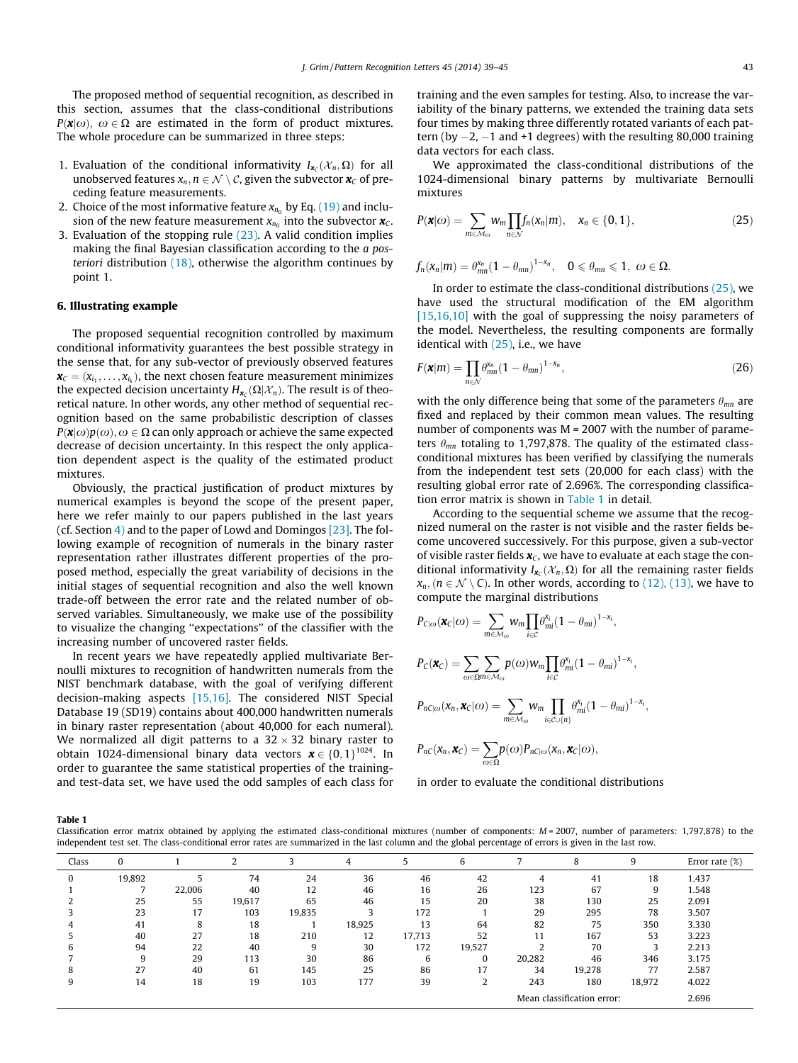<span id="page-4-0"></span>The proposed method of sequential recognition, as described in this section, assumes that the class-conditional distributions  $P(x|\omega)$ ,  $\omega \in \Omega$  are estimated in the form of product mixtures. The whole procedure can be summarized in three steps:

- 1. Evaluation of the conditional informativity  $I_{\boldsymbol{\kappa}}(\mathcal{X}_n,\Omega)$  for all unobserved features  $x_n, n \in \mathcal{N} \setminus \mathcal{C}$ , given the subvector  $x_c$  of preceding feature measurements.
- 2. Choice of the most informative feature  $x_{n_0}$  by Eq. [\(19\)](#page-3-0) and inclusion of the new feature measurement  $x_{n_0}$  into the subvector  $x_C$ .
- 3. Evaluation of the stopping rule [\(23\)](#page-3-0). A valid condition implies making the final Bayesian classification according to the a posteriori distribution  $(18)$ , otherwise the algorithm continues by point 1.

#### 6. Illustrating example

The proposed sequential recognition controlled by maximum conditional informativity guarantees the best possible strategy in the sense that, for any sub-vector of previously observed features  $\mathbf{x}_c = (x_{i_1}, \ldots, x_{i_k})$ , the next chosen feature measurement minimizes the expected decision uncertainty  $H_{\mathbf{x}_C}(\Omega|\mathcal{X}_n)$ . The result is of theoretical nature. In other words, any other method of sequential recognition based on the same probabilistic description of classes  $P(\mathbf{x}|\omega)p(\omega), \omega \in \Omega$  can only approach or achieve the same expected decrease of decision uncertainty. In this respect the only application dependent aspect is the quality of the estimated product mixtures.

Obviously, the practical justification of product mixtures by numerical examples is beyond the scope of the present paper, here we refer mainly to our papers published in the last years (cf. Section [4\)](#page-2-0) and to the paper of Lowd and Domingos  $[23]$ . The following example of recognition of numerals in the binary raster representation rather illustrates different properties of the proposed method, especially the great variability of decisions in the initial stages of sequential recognition and also the well known trade-off between the error rate and the related number of observed variables. Simultaneously, we make use of the possibility to visualize the changing ''expectations'' of the classifier with the increasing number of uncovered raster fields.

In recent years we have repeatedly applied multivariate Bernoulli mixtures to recognition of handwritten numerals from the NIST benchmark database, with the goal of verifying different decision-making aspects [\[15,16\].](#page-6-0) The considered NIST Special Database 19 (SD19) contains about 400,000 handwritten numerals in binary raster representation (about 40,000 for each numeral). We normalized all digit patterns to a  $32 \times 32$  binary raster to obtain 1024-dimensional binary data vectors  $\boldsymbol{x} \in \{0, 1\}^{1024}$ . In order to guarantee the same statistical properties of the trainingand test-data set, we have used the odd samples of each class for training and the even samples for testing. Also, to increase the variability of the binary patterns, we extended the training data sets four times by making three differently rotated variants of each pattern (by  $-2$ ,  $-1$  and  $+1$  degrees) with the resulting 80,000 training data vectors for each class.

We approximated the class-conditional distributions of the 1024-dimensional binary patterns by multivariate Bernoulli mixtures

$$
P(\mathbf{x}|\omega) = \sum_{m \in \mathcal{M}_{\omega}} w_m \prod_{n \in \mathcal{N}} f_n(x_n|m), \quad x_n \in \{0, 1\},\tag{25}
$$

 $f_n(x_n|m) = \theta_{mn}^{x_n}(1-\theta_{mn})^{1-x_n}, \quad 0 \le \theta_{mn} \le 1, \omega \in \Omega.$ 

In order to estimate the class-conditional distributions (25), we have used the structural modification of the EM algorithm [\[15,16,10\]](#page-6-0) with the goal of suppressing the noisy parameters of the model. Nevertheless, the resulting components are formally identical with  $(25)$ , i.e., we have

$$
F(\boldsymbol{x}|m) = \prod_{n \in \mathcal{N}} \theta_{mn}^{x_n} (1 - \theta_{mn})^{1 - x_n},
$$
\n(26)

with the only difference being that some of the parameters  $\theta_{mn}$  are fixed and replaced by their common mean values. The resulting number of components was M = 2007 with the number of parameters  $\theta_{mn}$  totaling to 1,797,878. The quality of the estimated classconditional mixtures has been verified by classifying the numerals from the independent test sets (20,000 for each class) with the resulting global error rate of 2.696%. The corresponding classification error matrix is shown in Table 1 in detail.

According to the sequential scheme we assume that the recognized numeral on the raster is not visible and the raster fields become uncovered successively. For this purpose, given a sub-vector of visible raster fields  $x_c$ , we have to evaluate at each stage the conditional informativity  $I_{\boldsymbol{x}_{c}}(\mathcal{X}_{n}, \Omega)$  for all the remaining raster fields  $x_n, (n \in \mathcal{N} \setminus \mathcal{C})$ . In other words, according to [\(12\), \(13\),](#page-2-0) we have to compute the marginal distributions

$$
P_{C|\omega}(\pmb{\chi}_C|\omega)=\sum_{m\in\mathcal{M}_{\omega}}w_m\prod_{i\in\mathcal{C}}\theta_{mi}^{x_i}(1-\theta_{mi})^{1-x_i},
$$

$$
P_C(\boldsymbol{x}_C) = \sum_{\omega \in \Omega m \in \mathcal{M}_{\omega}} p(\omega) w_m \prod_{i \in C} \theta_{mi}^{x_i} (1 - \theta_{mi})^{1 - x_i},
$$
  

$$
P_{\omega}(\boldsymbol{x} \cdot \boldsymbol{x}_c | \omega) = \sum_{i} w_i \prod_{i} \theta_{ij}^{x_i} (1 - \theta_{ij})^{1 - x_i}.
$$

$$
P_{n\text{C}_{\mid\omega}}(\mathbf{x}_n,\mathbf{x}_{\text{C}}|\omega)=\sum_{m\in\mathcal{M}_{\omega}}w_m\prod_{i\in\mathcal{C}\cup\{n\}}\theta_{mi}^{x_i}(1-\theta_{mi})^{1-x_i},
$$

$$
P_{nC}(x_n, \boldsymbol{x}_C) = \sum_{\omega \in \Omega} p(\omega) P_{nC|\omega}(x_n, \boldsymbol{x}_C|\omega),
$$

in order to evaluate the conditional distributions

Table 1

Classification error matrix obtained by applying the estimated class-conditional mixtures (number of components:  $M = 2007$ , number of parameters: 1,797,878) to the independent test set. The class-conditional error rates are summarized in the last column and the global percentage of errors is given in the last row.

| Class | $\bf{0}$ |        |        |        | 4      |        | 6        |        | 8      | 9      | Error rate $(\%)$ |
|-------|----------|--------|--------|--------|--------|--------|----------|--------|--------|--------|-------------------|
|       | 19,892   |        | 74     | 24     | 36     | 46     | 42       |        | 41     | 18     | 1.437             |
|       |          | 22,006 | 40     | 12     | 46     | 16     | 26       | 123    | 67     | 9      | 1.548             |
|       | 25       | 55     | 19,617 | 65     | 46     | 15     | 20       | 38     | 130    | 25     | 2.091             |
|       | 23       | 17     | 103    | 19,835 |        | 172    |          | 29     | 295    | 78     | 3.507             |
|       | 41       | õ      | 18     |        | 18,925 | 13     | 64       | 82     | 75     | 350    | 3.330             |
|       | 40       | 27     | 18     | 210    | 12     | 17,713 | 52       |        | 167    | 53     | 3.223             |
| b     | 94       | 22     | 40     | 9      | 30     | 172    | 19,527   |        | 70     | 3      | 2.213             |
|       | 9        | 29     | 113    | 30     | 86     | 6      | $\Omega$ | 20,282 | 46     | 346    | 3.175             |
|       | 27       | 40     | 61     | 145    | 25     | 86     | 17       | 34     | 19,278 | 77     | 2.587             |
|       | 14       | 18     | 19     | 103    | 177    | 39     |          | 243    | 180    | 18,972 | 4.022             |
|       |          |        |        |        |        |        |          | 2.696  |        |        |                   |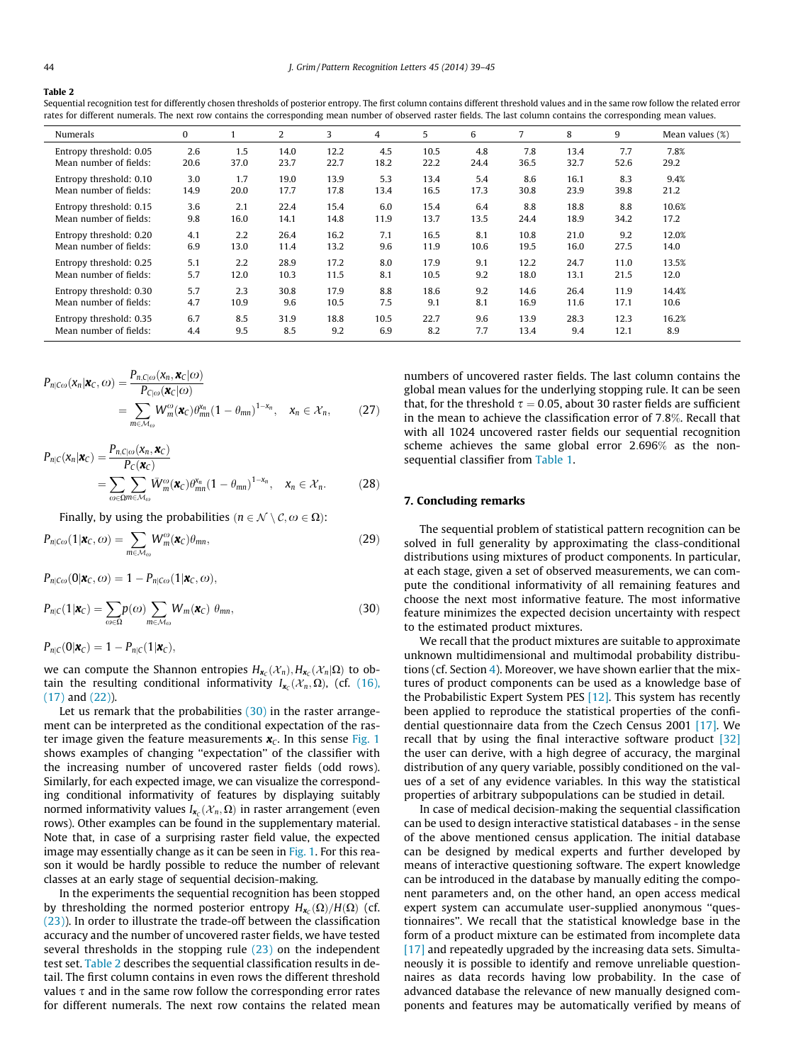#### Table 2

Sequential recognition test for differently chosen thresholds of posterior entropy. The first column contains different threshold values and in the same row follow the related error rates for different numerals. The next row contains the corresponding mean number of observed raster fields. The last column contains the corresponding mean values.

| Numerals                | $\bf{0}$ |      | 2    | 3    | 4    | 5    | 6    | 7    | 8    | 9    | Mean values $(\%)$ |
|-------------------------|----------|------|------|------|------|------|------|------|------|------|--------------------|
| Entropy threshold: 0.05 | 2.6      | 1.5  | 14.0 | 12.2 | 4.5  | 10.5 | 4.8  | 7.8  | 13.4 | 7.7  | 7.8%               |
| Mean number of fields:  | 20.6     | 37.0 | 23.7 | 22.7 | 18.2 | 22.2 | 24.4 | 36.5 | 32.7 | 52.6 | 29.2               |
| Entropy threshold: 0.10 | 3.0      | 1.7  | 19.0 | 13.9 | 5.3  | 13.4 | 5.4  | 8.6  | 16.1 | 8.3  | 9.4%               |
| Mean number of fields:  | 14.9     | 20.0 | 17.7 | 17.8 | 13.4 | 16.5 | 17.3 | 30.8 | 23.9 | 39.8 | 21.2               |
| Entropy threshold: 0.15 | 3.6      | 2.1  | 22.4 | 15.4 | 6.0  | 15.4 | 6.4  | 8.8  | 18.8 | 8.8  | 10.6%              |
| Mean number of fields:  | 9.8      | 16.0 | 14.1 | 14.8 | 11.9 | 13.7 | 13.5 | 24.4 | 18.9 | 34.2 | 17.2               |
| Entropy threshold: 0.20 | 4.1      | 2.2  | 26.4 | 16.2 | 7.1  | 16.5 | 8.1  | 10.8 | 21.0 | 9.2  | 12.0%              |
| Mean number of fields:  | 6.9      | 13.0 | 11.4 | 13.2 | 9.6  | 11.9 | 10.6 | 19.5 | 16.0 | 27.5 | 14.0               |
| Entropy threshold: 0.25 | 5.1      | 2.2  | 28.9 | 17.2 | 8.0  | 17.9 | 9.1  | 12.2 | 24.7 | 11.0 | 13.5%              |
| Mean number of fields:  | 5.7      | 12.0 | 10.3 | 11.5 | 8.1  | 10.5 | 9.2  | 18.0 | 13.1 | 21.5 | 12.0               |
| Entropy threshold: 0.30 | 5.7      | 2.3  | 30.8 | 17.9 | 8.8  | 18.6 | 9.2  | 14.6 | 26.4 | 11.9 | 14.4%              |
| Mean number of fields:  | 4.7      | 10.9 | 9.6  | 10.5 | 7.5  | 9.1  | 8.1  | 16.9 | 11.6 | 17.1 | 10.6               |
| Entropy threshold: 0.35 | 6.7      | 8.5  | 31.9 | 18.8 | 10.5 | 22.7 | 9.6  | 13.9 | 28.3 | 12.3 | 16.2%              |
| Mean number of fields:  | 4.4      | 9.5  | 8.5  | 9.2  | 6.9  | 8.2  | 7.7  | 13.4 | 9.4  | 12.1 | 8.9                |

$$
P_{n|C\omega}(\mathbf{x}_n|\mathbf{x}_C,\omega) = \frac{P_{n,C|\omega}(\mathbf{x}_n,\mathbf{x}_C|\omega)}{P_{C|\omega}(\mathbf{x}_C|\omega)}
$$
  
= 
$$
\sum_{m \in \mathcal{M}_{\omega}} W_m^{\omega}(\mathbf{x}_C) \theta_{mn}^{x_n} (1 - \theta_{mn})^{1 - x_n}, \quad x_n \in \mathcal{X}_n,
$$
 (27)

$$
P_{n|C}(\mathbf{x}_n|\mathbf{x}_C) = \frac{P_{n,C|\omega}(\mathbf{x}_n,\mathbf{x}_C)}{P_C(\mathbf{x}_C)}
$$
  
= 
$$
\sum_{\omega \in \Omega m \in \mathcal{M}_{\omega}} \overline{W}_m^{\omega}(\mathbf{x}_C) \theta_{mn}^{x_n} (1 - \theta_{mn})^{1-x_n}, \quad \mathbf{x}_n \in \mathcal{X}_n.
$$
 (28)

Finally, by using the probabilities  $(n \in \mathcal{N} \setminus \mathcal{C}, \omega \in \Omega)$ :

$$
P_{n|C\omega}(1|\boldsymbol{x}_C,\omega) = \sum_{m \in \mathcal{M}_{\omega}} W_m^{\omega}(\boldsymbol{x}_C) \theta_{mn},
$$
\n(29)

 $P_{n|C\omega}(0|\mathbf{x}_C,\omega)=1-P_{n|C\omega}(1|\mathbf{x}_C,\omega),$ 

$$
P_{n|C}(1|\mathbf{x}_C) = \sum_{\omega \in \Omega} p(\omega) \sum_{m \in \mathcal{M}_{\omega}} W_m(\mathbf{x}_C) \theta_{mn},
$$
\n(30)

 $P_{n|C}(\mathbf{0}|\mathbf{x}_C)=1-P_{n|C}(1|\mathbf{x}_C),$ 

we can compute the Shannon entropies  $H_{\mathbf{x}_{\mathcal{C}}}(\mathcal{X}_n), H_{\mathbf{x}_{\mathcal{C}}}(\mathcal{X}_n|\Omega)$  to obtain the resulting conditional informativity  $I_{\mathbf{x}_c}(\mathcal{X}_n,\Omega)$ , (cf. [\(16\),](#page-3-0) [\(17\)](#page-3-0) and [\(22\)\)](#page-3-0).

Let us remark that the probabilities  $(30)$  in the raster arrangement can be interpreted as the conditional expectation of the raster image given the feature measurements  $x_c$ . In this sense [Fig. 1](#page-3-0) shows examples of changing ''expectation'' of the classifier with the increasing number of uncovered raster fields (odd rows). Similarly, for each expected image, we can visualize the corresponding conditional informativity of features by displaying suitably normed informativity values  $I_{\mathbf{x}_C}(\mathcal{X}_n, \Omega)$  in raster arrangement (even rows). Other examples can be found in the supplementary material. Note that, in case of a surprising raster field value, the expected image may essentially change as it can be seen in [Fig. 1](#page-3-0). For this reason it would be hardly possible to reduce the number of relevant classes at an early stage of sequential decision-making.

In the experiments the sequential recognition has been stopped by thresholding the normed posterior entropy  $H_{\mathbf{x}_c}(\Omega)/H(\Omega)$  (cf. [\(23\)](#page-3-0)). In order to illustrate the trade-off between the classification accuracy and the number of uncovered raster fields, we have tested several thresholds in the stopping rule [\(23\)](#page-3-0) on the independent test set. Table 2 describes the sequential classification results in detail. The first column contains in even rows the different threshold values  $\tau$  and in the same row follow the corresponding error rates for different numerals. The next row contains the related mean

numbers of uncovered raster fields. The last column contains the global mean values for the underlying stopping rule. It can be seen that, for the threshold  $\tau = 0.05$ , about 30 raster fields are sufficient in the mean to achieve the classification error of 7:8%. Recall that with all 1024 uncovered raster fields our sequential recognition scheme achieves the same global error 2:696% as the nonsequential classifier from [Table 1.](#page-4-0)

#### 7. Concluding remarks

The sequential problem of statistical pattern recognition can be solved in full generality by approximating the class-conditional distributions using mixtures of product components. In particular, at each stage, given a set of observed measurements, we can compute the conditional informativity of all remaining features and choose the next most informative feature. The most informative feature minimizes the expected decision uncertainty with respect to the estimated product mixtures.

We recall that the product mixtures are suitable to approximate unknown multidimensional and multimodal probability distributions (cf. Section [4](#page-2-0)). Moreover, we have shown earlier that the mixtures of product components can be used as a knowledge base of the Probabilistic Expert System PES [\[12\].](#page-6-0) This system has recently been applied to reproduce the statistical properties of the confidential questionnaire data from the Czech Census 2001 [\[17\].](#page-6-0) We recall that by using the final interactive software product [\[32\]](#page-6-0) the user can derive, with a high degree of accuracy, the marginal distribution of any query variable, possibly conditioned on the values of a set of any evidence variables. In this way the statistical properties of arbitrary subpopulations can be studied in detail.

In case of medical decision-making the sequential classification can be used to design interactive statistical databases - in the sense of the above mentioned census application. The initial database can be designed by medical experts and further developed by means of interactive questioning software. The expert knowledge can be introduced in the database by manually editing the component parameters and, on the other hand, an open access medical expert system can accumulate user-supplied anonymous ''questionnaires''. We recall that the statistical knowledge base in the form of a product mixture can be estimated from incomplete data [\[17\]](#page-6-0) and repeatedly upgraded by the increasing data sets. Simultaneously it is possible to identify and remove unreliable questionnaires as data records having low probability. In the case of advanced database the relevance of new manually designed components and features may be automatically verified by means of